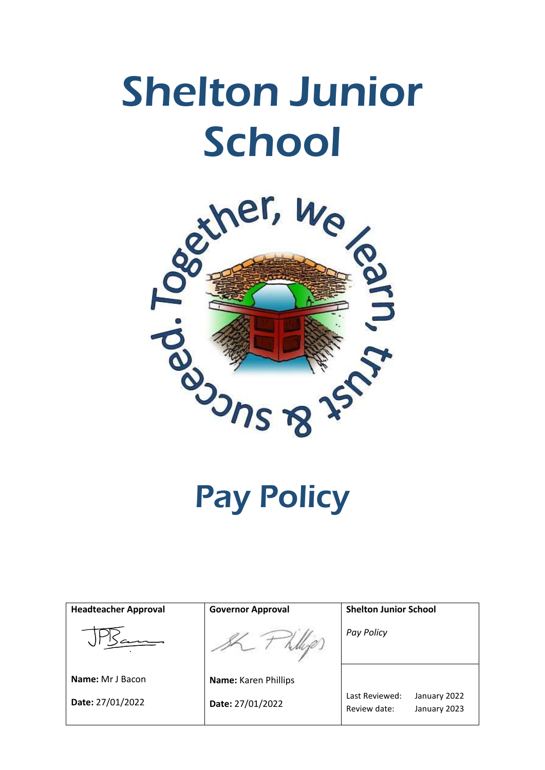# Shelton Junior School



Pay Policy

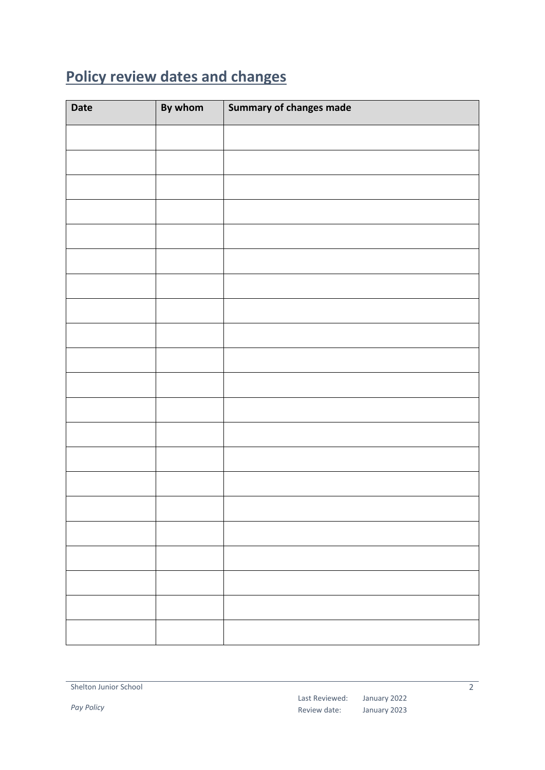# <span id="page-1-0"></span>**Policy review dates and changes**

| Date | By whom | Summary of changes made |
|------|---------|-------------------------|
|      |         |                         |
|      |         |                         |
|      |         |                         |
|      |         |                         |
|      |         |                         |
|      |         |                         |
|      |         |                         |
|      |         |                         |
|      |         |                         |
|      |         |                         |
|      |         |                         |
|      |         |                         |
|      |         |                         |
|      |         |                         |
|      |         |                         |
|      |         |                         |
|      |         |                         |
|      |         |                         |
|      |         |                         |
|      |         |                         |
|      |         |                         |

*Pay Policy*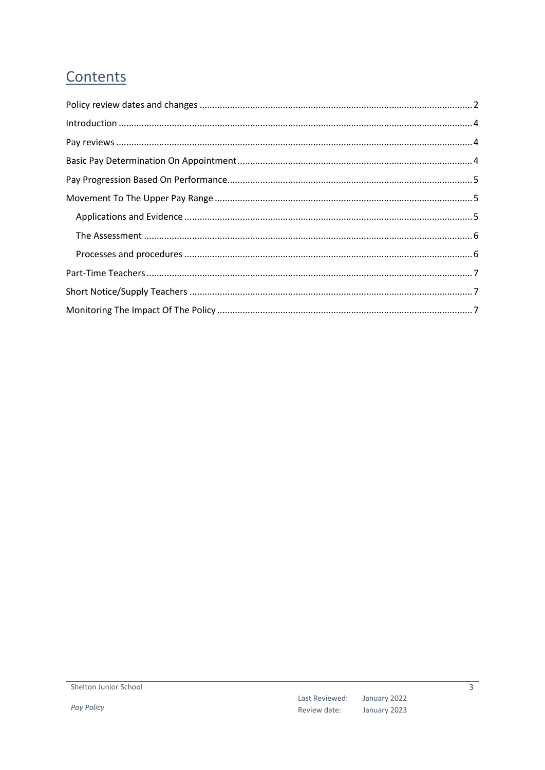# Contents

| $\label{eq:interadd} \text{Introduction} \,\, \ldots \,\, \ldots \,\, \ldots \,\, \ldots \,\, \ldots \,\, \ldots \,\, \ldots \,\, \ldots \,\, \ldots \,\, \ldots \,\, \ldots \,\, \ldots \,\, \ldots \,\, \ldots \,\, \ldots \,\, \ldots \,\, \ldots \,\, \ldots \,\, \ldots \,\, \ldots \,\, \ldots \,\, \ldots \,\, \ldots \,\, \ldots \,\, \ldots \,\, \ldots \,\, \ldots \,\, \ldots \,\, \ldots \,\, \ldots \,\, \ldots \,\, \ldots \,\, \ldots \,\, \ldots \,\,$ |  |
|------------------------------------------------------------------------------------------------------------------------------------------------------------------------------------------------------------------------------------------------------------------------------------------------------------------------------------------------------------------------------------------------------------------------------------------------------------------------|--|
|                                                                                                                                                                                                                                                                                                                                                                                                                                                                        |  |
|                                                                                                                                                                                                                                                                                                                                                                                                                                                                        |  |
|                                                                                                                                                                                                                                                                                                                                                                                                                                                                        |  |
|                                                                                                                                                                                                                                                                                                                                                                                                                                                                        |  |
|                                                                                                                                                                                                                                                                                                                                                                                                                                                                        |  |
|                                                                                                                                                                                                                                                                                                                                                                                                                                                                        |  |
|                                                                                                                                                                                                                                                                                                                                                                                                                                                                        |  |
|                                                                                                                                                                                                                                                                                                                                                                                                                                                                        |  |
|                                                                                                                                                                                                                                                                                                                                                                                                                                                                        |  |
|                                                                                                                                                                                                                                                                                                                                                                                                                                                                        |  |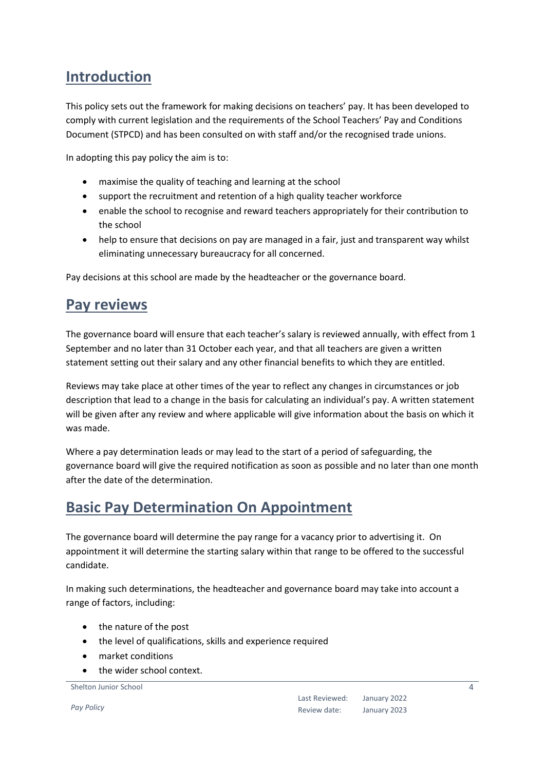## <span id="page-3-0"></span>**Introduction**

This policy sets out the framework for making decisions on teachers' pay. It has been developed to comply with current legislation and the requirements of the School Teachers' Pay and Conditions Document (STPCD) and has been consulted on with staff and/or the recognised trade unions.

In adopting this pay policy the aim is to:

- maximise the quality of teaching and learning at the school
- support the recruitment and retention of a high quality teacher workforce
- enable the school to recognise and reward teachers appropriately for their contribution to the school
- help to ensure that decisions on pay are managed in a fair, just and transparent way whilst eliminating unnecessary bureaucracy for all concerned.

Pay decisions at this school are made by the headteacher or the governance board.

#### <span id="page-3-1"></span>**Pay reviews**

The governance board will ensure that each teacher's salary is reviewed annually, with effect from 1 September and no later than 31 October each year, and that all teachers are given a written statement setting out their salary and any other financial benefits to which they are entitled.

Reviews may take place at other times of the year to reflect any changes in circumstances or job description that lead to a change in the basis for calculating an individual's pay. A written statement will be given after any review and where applicable will give information about the basis on which it was made.

Where a pay determination leads or may lead to the start of a period of safeguarding, the governance board will give the required notification as soon as possible and no later than one month after the date of the determination.

## <span id="page-3-2"></span>**Basic Pay Determination On Appointment**

The governance board will determine the pay range for a vacancy prior to advertising it. On appointment it will determine the starting salary within that range to be offered to the successful candidate.

In making such determinations, the headteacher and governance board may take into account a range of factors, including:

- the nature of the post
- the level of qualifications, skills and experience required
- market conditions
- the wider school context.

#### Shelton Junior School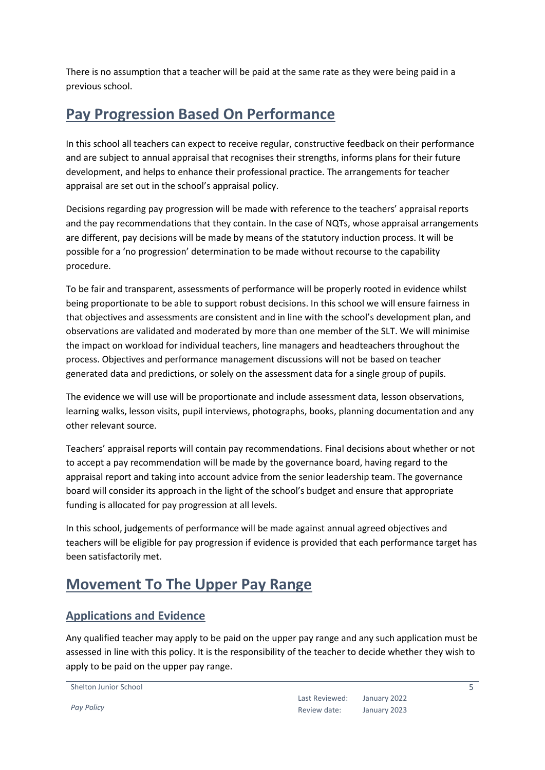There is no assumption that a teacher will be paid at the same rate as they were being paid in a previous school.

## <span id="page-4-0"></span>**Pay Progression Based On Performance**

In this school all teachers can expect to receive regular, constructive feedback on their performance and are subject to annual appraisal that recognises their strengths, informs plans for their future development, and helps to enhance their professional practice. The arrangements for teacher appraisal are set out in the school's appraisal policy.

Decisions regarding pay progression will be made with reference to the teachers' appraisal reports and the pay recommendations that they contain. In the case of NQTs, whose appraisal arrangements are different, pay decisions will be made by means of the statutory induction process. It will be possible for a 'no progression' determination to be made without recourse to the capability procedure.

To be fair and transparent, assessments of performance will be properly rooted in evidence whilst being proportionate to be able to support robust decisions. In this school we will ensure fairness in that objectives and assessments are consistent and in line with the school's development plan, and observations are validated and moderated by more than one member of the SLT. We will minimise the impact on workload for individual teachers, line managers and headteachers throughout the process. Objectives and performance management discussions will not be based on teacher generated data and predictions, or solely on the assessment data for a single group of pupils.

The evidence we will use will be proportionate and include assessment data, lesson observations, learning walks, lesson visits, pupil interviews, photographs, books, planning documentation and any other relevant source.

Teachers' appraisal reports will contain pay recommendations. Final decisions about whether or not to accept a pay recommendation will be made by the governance board, having regard to the appraisal report and taking into account advice from the senior leadership team. The governance board will consider its approach in the light of the school's budget and ensure that appropriate funding is allocated for pay progression at all levels.

In this school, judgements of performance will be made against annual agreed objectives and teachers will be eligible for pay progression if evidence is provided that each performance target has been satisfactorily met.

## <span id="page-4-1"></span>**Movement To The Upper Pay Range**

#### <span id="page-4-2"></span>**Applications and Evidence**

Any qualified teacher may apply to be paid on the upper pay range and any such application must be assessed in line with this policy. It is the responsibility of the teacher to decide whether they wish to apply to be paid on the upper pay range.

```
Shelton Junior School
```
*Pay Policy*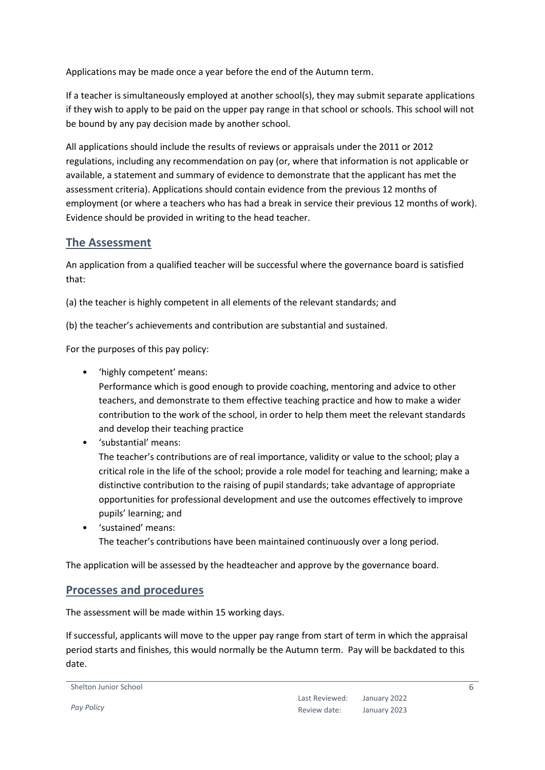Applications may be made once a year before the end of the Autumn term.

If a teacher is simultaneously employed at another school(s), they may submit separate applications if they wish to apply to be paid on the upper pay range in that school or schools. This school will not be bound by any pay decision made by another school.

All applications should include the results of reviews or appraisals under the 2011 or 2012 regulations, including any recommendation on pay (or, where that information is not applicable or available, a statement and summary of evidence to demonstrate that the applicant has met the assessment criteria). Applications should contain evidence from the previous 12 months of employment (or where a teachers who has had a break in service their previous 12 months of work). Evidence should be provided in writing to the head teacher.

#### <span id="page-5-0"></span>**The Assessment**

An application from a qualified teacher will be successful where the governance board is satisfied that:

(a) the teacher is highly competent in all elements of the relevant standards; and

(b) the teacher's achievements and contribution are substantial and sustained.

For the purposes of this pay policy:

• 'highly competent' means:

Performance which is good enough to provide coaching, mentoring and advice to other teachers, and demonstrate to them effective teaching practice and how to make a wider contribution to the work of the school, in order to help them meet the relevant standards and develop their teaching practice

• 'substantial' means:

The teacher's contributions are of real importance, validity or value to the school; play a critical role in the life of the school; provide a role model for teaching and learning; make a distinctive contribution to the raising of pupil standards; take advantage of appropriate opportunities for professional development and use the outcomes effectively to improve pupils' learning; and

• 'sustained' means: The teacher's contributions have been maintained continuously over a long period.

The application will be assessed by the headteacher and approve by the governance board.

#### <span id="page-5-1"></span>**Processes and procedures**

The assessment will be made within 15 working days.

If successful, applicants will move to the upper pay range from start of term in which the appraisal period starts and finishes, this would normally be the Autumn term. Pay will be backdated to this date.

Shelton Junior School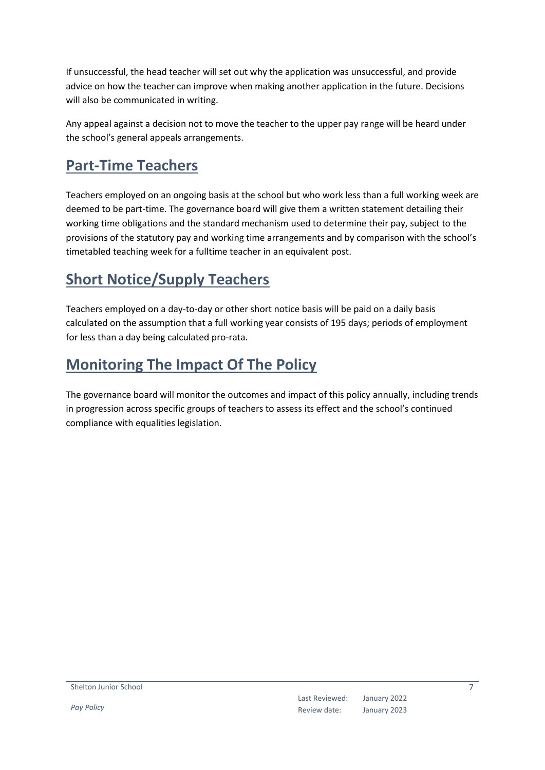If unsuccessful, the head teacher will set out why the application was unsuccessful, and provide advice on how the teacher can improve when making another application in the future. Decisions will also be communicated in writing.

Any appeal against a decision not to move the teacher to the upper pay range will be heard under the school's general appeals arrangements.

## <span id="page-6-0"></span>**Part-Time Teachers**

Teachers employed on an ongoing basis at the school but who work less than a full working week are deemed to be part-time. The governance board will give them a written statement detailing their working time obligations and the standard mechanism used to determine their pay, subject to the provisions of the statutory pay and working time arrangements and by comparison with the school's timetabled teaching week for a fulltime teacher in an equivalent post.

# <span id="page-6-1"></span>**Short Notice/Supply Teachers**

Teachers employed on a day-to-day or other short notice basis will be paid on a daily basis calculated on the assumption that a full working year consists of 195 days; periods of employment for less than a day being calculated pro-rata.

# <span id="page-6-2"></span>**Monitoring The Impact Of The Policy**

The governance board will monitor the outcomes and impact of this policy annually, including trends in progression across specific groups of teachers to assess its effect and the school's continued compliance with equalities legislation.